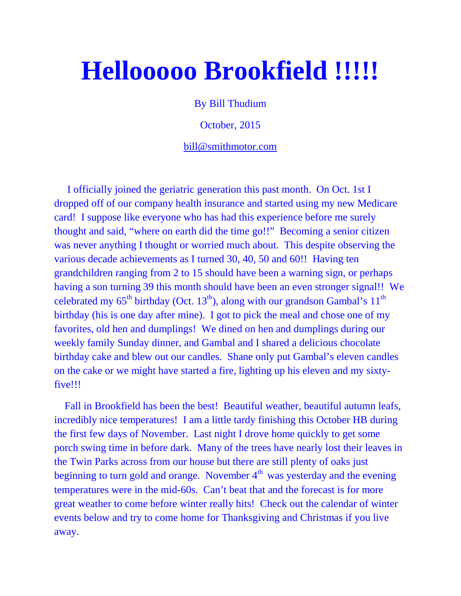# **Hellooooo Brookfield !!!!!**

By Bill Thudium

October, 2015

bill@smithmotor.com

I officially joined the geriatric generation this past month. On Oct. 1st I dropped off of our company health insurance and started using my new Medicare card! I suppose like everyone who has had this experience before me surely thought and said, "where on earth did the time go!!" Becoming a senior citizen was never anything I thought or worried much about. This despite observing the various decade achievements as I turned 30, 40, 50 and 60!! Having ten grandchildren ranging from 2 to 15 should have been a warning sign, or perhaps having a son turning 39 this month should have been an even stronger signal!! We celebrated my  $65^{th}$  birthday (Oct.  $13^{th}$ ), along with our grandson Gambal's  $11^{th}$ birthday (his is one day after mine). I got to pick the meal and chose one of my favorites, old hen and dumplings! We dined on hen and dumplings during our weekly family Sunday dinner, and Gambal and I shared a delicious chocolate birthday cake and blew out our candles. Shane only put Gambal's eleven candles on the cake or we might have started a fire, lighting up his eleven and my sixtyfive!!!

Fall in Brookfield has been the best! Beautiful weather, beautiful autumn leafs, incredibly nice temperatures! I am a little tardy finishing this October HB during the first few days of November. Last night I drove home quickly to get some porch swing time in before dark. Many of the trees have nearly lost their leaves in the Twin Parks across from our house but there are still plenty of oaks just beginning to turn gold and orange. November  $4<sup>th</sup>$  was yesterday and the evening temperatures were in the mid-60s. Can't beat that and the forecast is for more great weather to come before winter really hits! Check out the calendar of winter events below and try to come home for Thanksgiving and Christmas if you live away.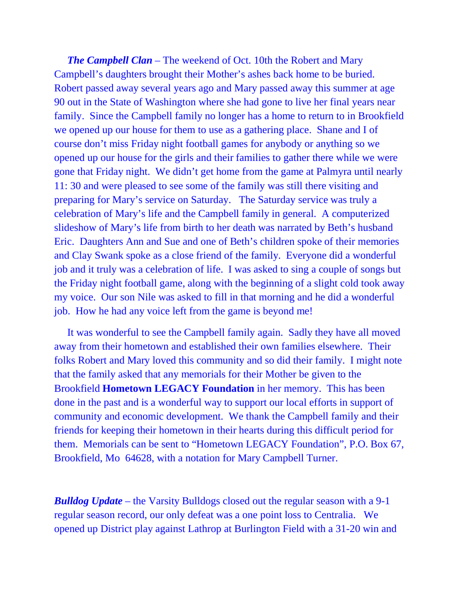*The Campbell Clan* – The weekend of Oct. 10th the Robert and Mary Campbell's daughters brought their Mother's ashes back home to be buried. Robert passed away several years ago and Mary passed away this summer at age 90 out in the State of Washington where she had gone to live her final years near family. Since the Campbell family no longer has a home to return to in Brookfield we opened up our house for them to use as a gathering place. Shane and I of course don't miss Friday night football games for anybody or anything so we opened up our house for the girls and their families to gather there while we were gone that Friday night. We didn't get home from the game at Palmyra until nearly 11: 30 and were pleased to see some of the family was still there visiting and preparing for Mary's service on Saturday. The Saturday service was truly a celebration of Mary's life and the Campbell family in general. A computerized slideshow of Mary's life from birth to her death was narrated by Beth's husband Eric. Daughters Ann and Sue and one of Beth's children spoke of their memories and Clay Swank spoke as a close friend of the family. Everyone did a wonderful job and it truly was a celebration of life. I was asked to sing a couple of songs but the Friday night football game, along with the beginning of a slight cold took away my voice. Our son Nile was asked to fill in that morning and he did a wonderful job. How he had any voice left from the game is beyond me!

It was wonderful to see the Campbell family again. Sadly they have all moved away from their hometown and established their own families elsewhere. Their folks Robert and Mary loved this community and so did their family. I might note that the family asked that any memorials for their Mother be given to the Brookfield **Hometown LEGACY Foundation** in her memory. This has been done in the past and is a wonderful way to support our local efforts in support of community and economic development. We thank the Campbell family and their friends for keeping their hometown in their hearts during this difficult period for them. Memorials can be sent to "Hometown LEGACY Foundation", P.O. Box 67, Brookfield, Mo 64628, with a notation for Mary Campbell Turner.

*Bulldog Update* – the Varsity Bulldogs closed out the regular season with a 9-1 regular season record, our only defeat was a one point loss to Centralia. We opened up District play against Lathrop at Burlington Field with a 31-20 win and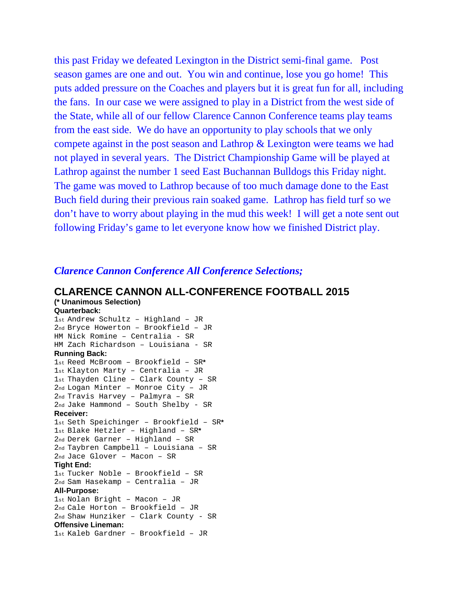this past Friday we defeated Lexington in the District semi-final game. Post season games are one and out. You win and continue, lose you go home! This puts added pressure on the Coaches and players but it is great fun for all, including the fans. In our case we were assigned to play in a District from the west side of the State, while all of our fellow Clarence Cannon Conference teams play teams from the east side. We do have an opportunity to play schools that we only compete against in the post season and Lathrop & Lexington were teams we had not played in several years. The District Championship Game will be played at Lathrop against the number 1 seed East Buchannan Bulldogs this Friday night. The game was moved to Lathrop because of too much damage done to the East Buch field during their previous rain soaked game. Lathrop has field turf so we don't have to worry about playing in the mud this week! I will get a note sent out following Friday's game to let everyone know how we finished District play.

#### *Clarence Cannon Conference All Conference Selections;*

#### **CLARENCE CANNON ALL-CONFERENCE FOOTBALL 2015**

**(\* Unanimous Selection) Quarterback:** 1st Andrew Schultz – Highland – JR 2nd Bryce Howerton – Brookfield – JR

HM Nick Romine – Centralia - SR

#### HM Zach Richardson – Louisiana - SR **Running Back:**

```
1st Reed McBroom – Brookfield – SR*
1st Klayton Marty – Centralia – JR
1st Thayden Cline – Clark County – SR
2nd Logan Minter – Monroe City – JR
2nd Travis Harvey – Palmyra – SR
2nd Jake Hammond – South Shelby - SR
Receiver:
1st Seth Speichinger – Brookfield – SR*
1st Blake Hetzler – Highland – SR*
2nd Derek Garner – Highland – SR
2nd Taybren Campbell – Louisiana – SR
2nd Jace Glover – Macon – SR
Tight End:
1st Tucker Noble – Brookfield – SR
2nd Sam Hasekamp – Centralia – JR
All-Purpose:
1st Nolan Bright – Macon – JR
2nd Cale Horton – Brookfield – JR
2nd Shaw Hunziker – Clark County - SR
Offensive Lineman:
1st Kaleb Gardner – Brookfield – JR
```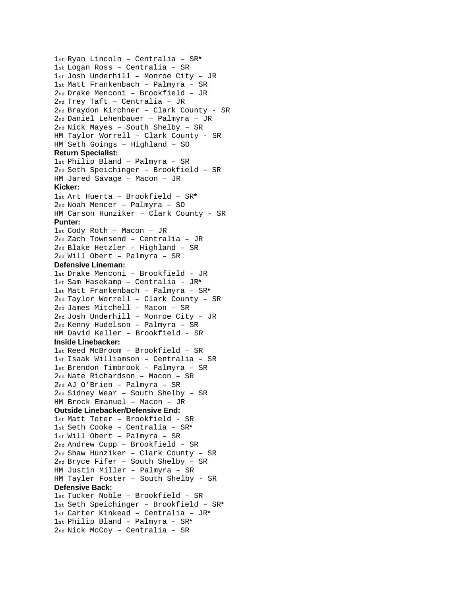```
1st Ryan Lincoln – Centralia – SR*
1st Logan Ross – Centralia – SR
1st Josh Underhill – Monroe City – JR
1st Matt Frankenbach – Palmyra – SR
2nd Drake Menconi – Brookfield – JR
2nd Trey Taft – Centralia – JR
2nd Braydon Kirchner – Clark County - SR
2nd Daniel Lehenbauer – Palmyra – JR
2nd Nick Mayes – South Shelby – SR
HM Taylor Worrell – Clark County - SR
HM Seth Goings – Highland – SO
Return Specialist:
1st Philip Bland – Palmyra – SR
2nd Seth Speichinger – Brookfield – SR
HM Jared Savage – Macon – JR
Kicker:
1st Art Huerta – Brookfield – SR*
2nd Noah Mencer – Palmyra – SO
HM Carson Hunziker – Clark County - SR
Punter:
1st Cody Roth – Macon – JR
2nd Zach Townsend – Centralia – JR
2nd Blake Hetzler – Highland – SR
2nd Will Obert – Palmyra – SR
Defensive Lineman:
1st Drake Menconi – Brookfield – JR
1st Sam Hasekamp – Centralia - JR*
1st Matt Frankenbach – Palmyra – SR*
2nd Taylor Worrell – Clark County – SR
2nd James Mitchell – Macon – SR
2nd Josh Underhill – Monroe City – JR
2nd Kenny Hudelson – Palmyra – SR
HM David Keller – Brookfield - SR
Inside Linebacker:
1st Reed McBroom – Brookfield – SR
1st Isaak Williamson – Centralia – SR
1st Brendon Timbrook – Palmyra – SR
2nd Nate Richardson – Macon – SR
2nd AJ O'Brien – Palmyra – SR
2nd Sidney Wear – South Shelby – SR
HM Brock Emanuel – Macon – JR
Outside Linebacker/Defensive End:
1st Matt Teter – Brookfield - SR
1st Seth Cooke – Centralia – SR*
1st Will Obert – Palmyra – SR
2nd Andrew Cupp – Brookfield – SR
2nd Shaw Hunziker – Clark County – SR
2nd Bryce Fifer – South Shelby – SR
HM Justin Miller – Palmyra – SR
HM Tayler Foster – South Shelby - SR
Defensive Back:
1st Tucker Noble – Brookfield – SR
1st Seth Speichinger – Brookfield – SR*
1st Carter Kinkead – Centralia – JR*
1st Philip Bland – Palmyra – SR*
2nd Nick McCoy – Centralia – SR
```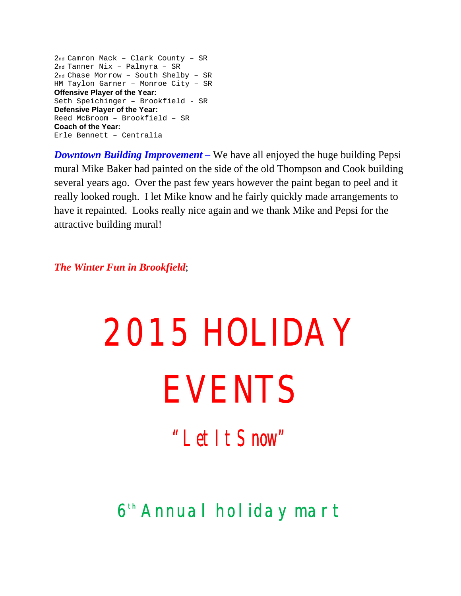2nd Camron Mack – Clark County – SR 2nd Tanner Nix – Palmyra – SR 2nd Chase Morrow – South Shelby – SR HM Taylon Garner – Monroe City – SR **Offensive Player of the Year:** Seth Speichinger – Brookfield - SR **Defensive Player of the Year:** Reed McBroom – Brookfield – SR **Coach of the Year:** Erle Bennett – Centralia

*Downtown Building Improvement* – We have all enjoyed the huge building Pepsi mural Mike Baker had painted on the side of the old Thompson and Cook building several years ago. Over the past few years however the paint began to peel and it really looked rough. I let Mike know and he fairly quickly made arrangements to have it repainted. Looks really nice again and we thank Mike and Pepsi for the attractive building mural!

*The Winter Fun in Brookfield*;

# 2015 HOLIDAY EVENTS

*"Let It Snow"*

### **6th Annual holiday mart**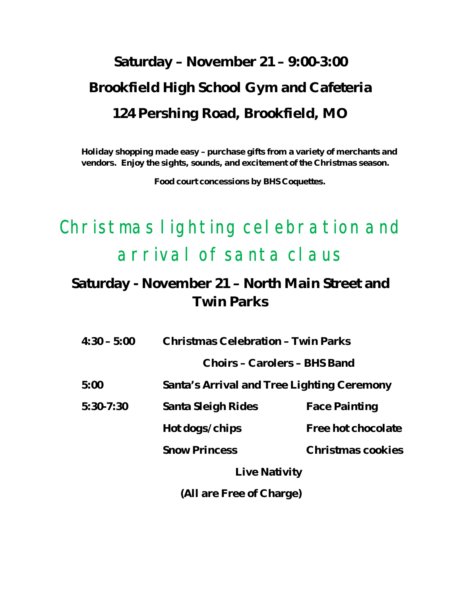## **Saturday – November 21 – 9:00-3:00 Brookfield High School Gym and Cafeteria 124 Pershing Road, Brookfield, MO**

**Holiday shopping made easy – purchase gifts from a variety of merchants and vendors. Enjoy the sights, sounds, and excitement of the Christmas season.**

**Food court concessions by BHS Coquettes.**

## Christmas lighting celebration and arrival of santa claus

#### **Saturday - November 21 – North Main Street and Twin Parks**

| $4:30 - 5:00$ | Christmas Celebration - Twin Parks         |                      |
|---------------|--------------------------------------------|----------------------|
|               | Choirs - Carolers - BHS Band               |                      |
| 5:00          | Santa's Arrival and Tree Lighting Ceremony |                      |
| $5:30-7:30$   | Santa Sleigh Rides                         | <b>Face Painting</b> |
|               | Hot dogs/chips                             | Free hot chocolate   |
|               | <b>Snow Princess</b>                       | Christmas cookies    |
|               | Live Nativity                              |                      |
|               | (All are Free of Charge)                   |                      |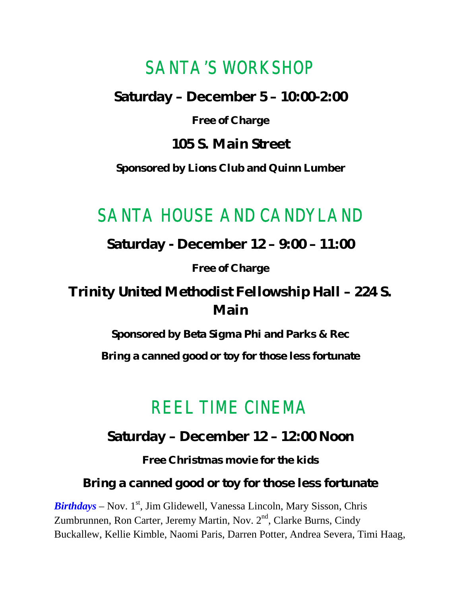#### SANTA'S WORKSHOP

**Saturday – December 5 – 10:00-2:00**

**Free of Charge**

**105 S. Main Street** 

**Sponsored by Lions Club and Quinn Lumber**

#### SANTA HOUSE AND CANDYLAND

**Saturday - December 12 – 9:00 – 11:00**

**Free of Charge**

**Trinity United Methodist Fellowship Hall – 224 S. Main**

**Sponsored by Beta Sigma Phi and Parks & Rec**

**Bring a canned good or toy for those less fortunate**

### REEL TIME CINEMA

**Saturday – December 12 – 12:00 Noon**

**Free Christmas movie for the kids**

**Bring a canned good or toy for those less fortunate**

*Birthdays* – Nov. 1<sup>st</sup>, Jim Glidewell, Vanessa Lincoln, Mary Sisson, Chris Zumbrunnen, Ron Carter, Jeremy Martin, Nov. 2<sup>nd</sup>, Clarke Burns, Cindy Buckallew, Kellie Kimble, Naomi Paris, Darren Potter, Andrea Severa, Timi Haag,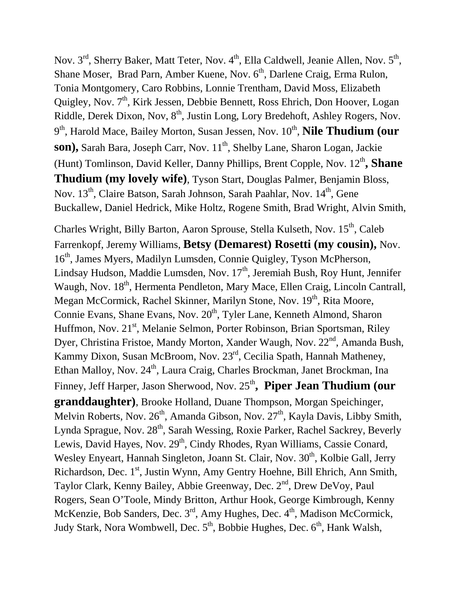Nov. 3<sup>rd</sup>, Sherry Baker, Matt Teter, Nov. 4<sup>th</sup>, Ella Caldwell, Jeanie Allen, Nov. 5<sup>th</sup>, Shane Moser, Brad Parn, Amber Kuene, Nov. 6<sup>th</sup>, Darlene Craig, Erma Rulon, Tonia Montgomery, Caro Robbins, Lonnie Trentham, David Moss, Elizabeth Quigley, Nov. 7<sup>th</sup>, Kirk Jessen, Debbie Bennett, Ross Ehrich, Don Hoover, Logan Riddle, Derek Dixon, Nov, 8<sup>th</sup>, Justin Long, Lory Bredehoft, Ashley Rogers, Nov. 9<sup>th</sup>, Harold Mace, Bailey Morton, Susan Jessen, Nov. 10<sup>th</sup>, **Nile Thudium (our** son), Sarah Bara, Joseph Carr, Nov. 11<sup>th</sup>, Shelby Lane, Sharon Logan, Jackie (Hunt) Tomlinson, David Keller, Danny Phillips, Brent Copple, Nov. 12<sup>th</sup>, Shane **Thudium (my lovely wife)**, Tyson Start, Douglas Palmer, Benjamin Bloss, Nov. 13<sup>th</sup>, Claire Batson, Sarah Johnson, Sarah Paahlar, Nov. 14<sup>th</sup>, Gene Buckallew, Daniel Hedrick, Mike Holtz, Rogene Smith, Brad Wright, Alvin Smith,

Charles Wright, Billy Barton, Aaron Sprouse, Stella Kulseth, Nov. 15<sup>th</sup>, Caleb Farrenkopf, Jeremy Williams, **Betsy (Demarest) Rosetti (my cousin),** Nov. 16th, James Myers, Madilyn Lumsden, Connie Quigley, Tyson McPherson, Lindsay Hudson, Maddie Lumsden, Nov.  $17<sup>th</sup>$ , Jeremiah Bush, Roy Hunt, Jennifer Waugh, Nov. 18<sup>th</sup>, Hermenta Pendleton, Mary Mace, Ellen Craig, Lincoln Cantrall, Megan McCormick, Rachel Skinner, Marilyn Stone, Nov. 19<sup>th</sup>, Rita Moore, Connie Evans, Shane Evans, Nov. 20<sup>th</sup>, Tyler Lane, Kenneth Almond, Sharon Huffmon, Nov. 21<sup>st</sup>, Melanie Selmon, Porter Robinson, Brian Sportsman, Riley Dyer, Christina Fristoe, Mandy Morton, Xander Waugh, Nov. 22<sup>nd</sup>, Amanda Bush, Kammy Dixon, Susan McBroom, Nov. 23<sup>rd</sup>, Cecilia Spath, Hannah Matheney, Ethan Malloy, Nov. 24<sup>th</sup>, Laura Craig, Charles Brockman, Janet Brockman, Ina Finney, Jeff Harper, Jason Sherwood, Nov. 25<sup>th</sup>, Piper Jean Thudium (our **granddaughter)**, Brooke Holland, Duane Thompson, Morgan Speichinger, Melvin Roberts, Nov. 26<sup>th</sup>, Amanda Gibson, Nov. 27<sup>th</sup>, Kayla Davis, Libby Smith, Lynda Sprague, Nov.  $28<sup>th</sup>$ , Sarah Wessing, Roxie Parker, Rachel Sackrey, Beverly Lewis, David Hayes, Nov. 29<sup>th</sup>, Cindy Rhodes, Ryan Williams, Cassie Conard, Wesley Enyeart, Hannah Singleton, Joann St. Clair, Nov. 30<sup>th</sup>, Kolbie Gall, Jerry Richardson, Dec. 1<sup>st</sup>, Justin Wynn, Amy Gentry Hoehne, Bill Ehrich, Ann Smith, Taylor Clark, Kenny Bailey, Abbie Greenway, Dec. 2<sup>nd</sup>, Drew DeVoy, Paul Rogers, Sean O'Toole, Mindy Britton, Arthur Hook, George Kimbrough, Kenny McKenzie, Bob Sanders, Dec.  $3<sup>rd</sup>$ , Amy Hughes, Dec.  $4<sup>th</sup>$ , Madison McCormick, Judy Stark, Nora Wombwell, Dec.  $5<sup>th</sup>$ , Bobbie Hughes, Dec.  $6<sup>th</sup>$ , Hank Walsh,